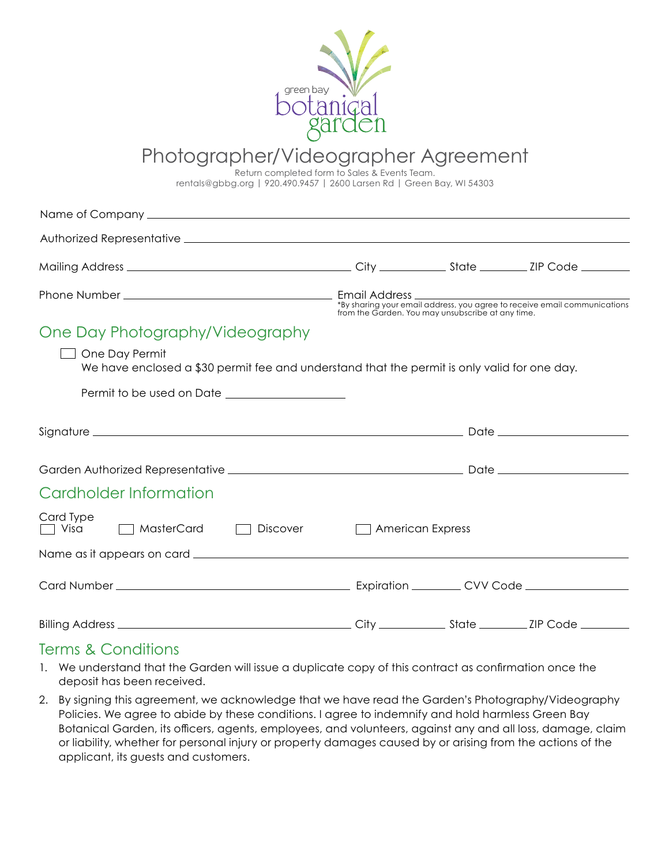

# Photographer/Videographer Agreement

Return completed form to Sales & Events Team.

rentals@gbbg.org | 920.490.9457 | 2600 Larsen Rd | Green Bay, WI 54303

|                                                                                                                |                                    |  | *By sharing your email address, you agree to receive email communications<br>from the Garden. You may unsubscribe at any time. |
|----------------------------------------------------------------------------------------------------------------|------------------------------------|--|--------------------------------------------------------------------------------------------------------------------------------|
| One Day Photography/Videography                                                                                |                                    |  |                                                                                                                                |
| One Day Permit<br>We have enclosed a \$30 permit fee and understand that the permit is only valid for one day. |                                    |  |                                                                                                                                |
|                                                                                                                |                                    |  |                                                                                                                                |
|                                                                                                                |                                    |  |                                                                                                                                |
|                                                                                                                |                                    |  |                                                                                                                                |
| Cardholder Information                                                                                         |                                    |  |                                                                                                                                |
| Card Type<br>$MasterCard$ $\Box$<br>$\Box$ Visa<br>$\Box$<br>Discover                                          | <b>American Express</b><br>$\perp$ |  |                                                                                                                                |
|                                                                                                                |                                    |  |                                                                                                                                |
|                                                                                                                |                                    |  |                                                                                                                                |
|                                                                                                                |                                    |  |                                                                                                                                |

## Terms & Conditions

- 1. We understand that the Garden will issue a duplicate copy of this contract as confirmation once the deposit has been received.
- 2. By signing this agreement, we acknowledge that we have read the Garden's Photography/Videography Policies. We agree to abide by these conditions. I agree to indemnify and hold harmless Green Bay Botanical Garden, its officers, agents, employees, and volunteers, against any and all loss, damage, claim or liability, whether for personal injury or property damages caused by or arising from the actions of the applicant, its guests and customers.